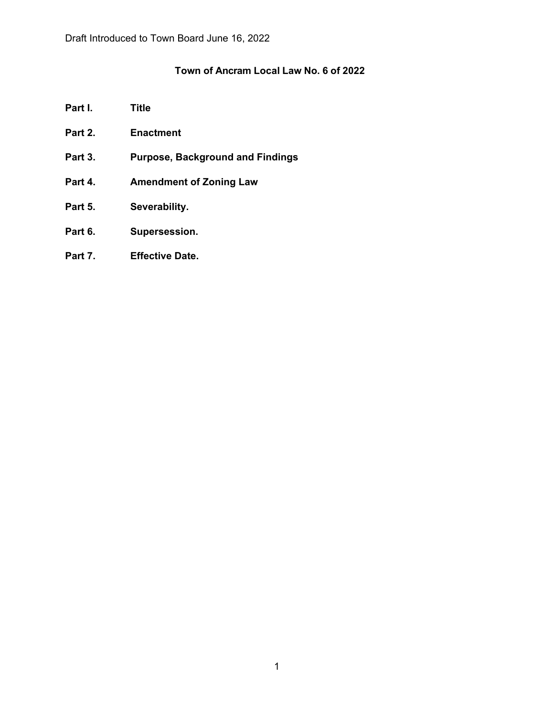# **Town of Ancram Local Law No. 6 of 2022**

- **Part I. Title**
- **Part 2. Enactment**
- **Part 3. Purpose, Background and Findings**
- **Part 4. Amendment of Zoning Law**
- **Part 5. Severability.**
- **Part 6. Supersession.**
- **Part 7. Effective Date.**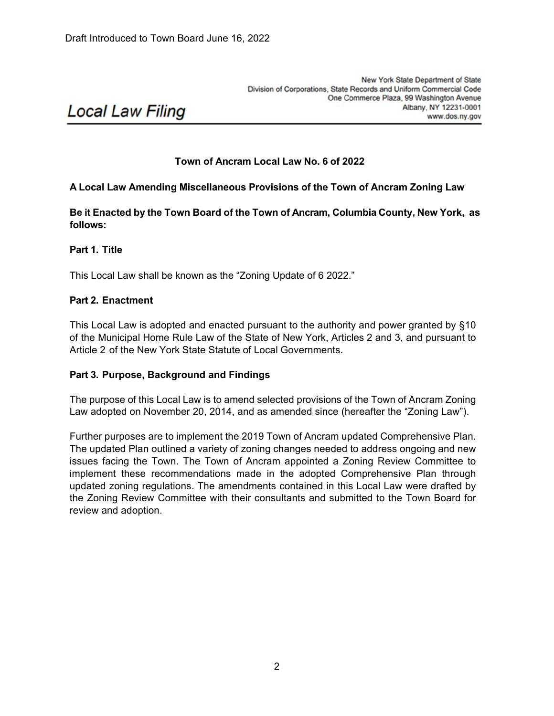# **Local Law Filing**

## **Town of Ancram Local Law No. 6 of 2022**

## **A Local Law Amending Miscellaneous Provisions of the Town of Ancram Zoning Law**

**Be it Enacted by the Town Board of the Town of Ancram, Columbia County, New York, as follows:**

**Part 1. Title**

This Local Law shall be known as the "Zoning Update of 6 2022."

#### **Part 2. Enactment**

This Local Law is adopted and enacted pursuant to the authority and power granted by §10 of the Municipal Home Rule Law of the State of New York, Articles 2 and 3, and pursuant to Article 2 of the New York State Statute of Local Governments.

#### **Part 3. Purpose, Background and Findings**

The purpose of this Local Law is to amend selected provisions of the Town of Ancram Zoning Law adopted on November 20, 2014, and as amended since (hereafter the "Zoning Law").

Further purposes are to implement the 2019 Town of Ancram updated Comprehensive Plan. The updated Plan outlined a variety of zoning changes needed to address ongoing and new issues facing the Town. The Town of Ancram appointed a Zoning Review Committee to implement these recommendations made in the adopted Comprehensive Plan through updated zoning regulations. The amendments contained in this Local Law were drafted by the Zoning Review Committee with their consultants and submitted to the Town Board for review and adoption.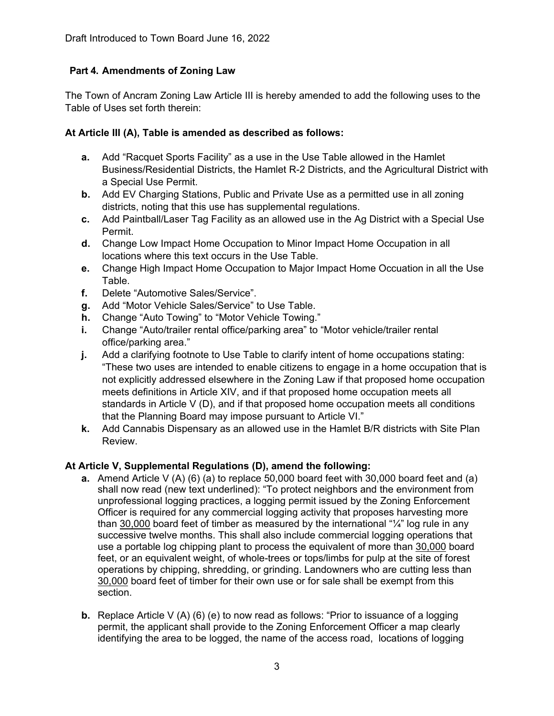# **Part 4. Amendments of Zoning Law**

The Town of Ancram Zoning Law Article III is hereby amended to add the following uses to the Table of Uses set forth therein:

## **At Article III (A), Table is amended as described as follows:**

- **a.** Add "Racquet Sports Facility" as a use in the Use Table allowed in the Hamlet Business/Residential Districts, the Hamlet R-2 Districts, and the Agricultural District with a Special Use Permit.
- **b.** Add EV Charging Stations, Public and Private Use as a permitted use in all zoning districts, noting that this use has supplemental regulations.
- **c.** Add Paintball/Laser Tag Facility as an allowed use in the Ag District with a Special Use Permit.
- **d.** Change Low Impact Home Occupation to Minor Impact Home Occupation in all locations where this text occurs in the Use Table.
- **e.** Change High Impact Home Occupation to Major Impact Home Occuation in all the Use Table.
- **f.** Delete "Automotive Sales/Service".
- **g.** Add "Motor Vehicle Sales/Service" to Use Table.
- **h.** Change "Auto Towing" to "Motor Vehicle Towing."
- **i.** Change "Auto/trailer rental office/parking area" to "Motor vehicle/trailer rental office/parking area."
- **j.** Add a clarifying footnote to Use Table to clarify intent of home occupations stating: "These two uses are intended to enable citizens to engage in a home occupation that is not explicitly addressed elsewhere in the Zoning Law if that proposed home occupation meets definitions in Article XIV, and if that proposed home occupation meets all standards in Article V (D), and if that proposed home occupation meets all conditions that the Planning Board may impose pursuant to Article VI."
- **k.** Add Cannabis Dispensary as an allowed use in the Hamlet B/R districts with Site Plan Review.

## **At Article V, Supplemental Regulations (D), amend the following:**

- **a.** Amend Article V (A) (6) (a) to replace 50,000 board feet with 30,000 board feet and (a) shall now read (new text underlined): "To protect neighbors and the environment from unprofessional logging practices, a logging permit issued by the Zoning Enforcement Officer is required for any commercial logging activity that proposes harvesting more than 30,000 board feet of timber as measured by the international "¼" log rule in any successive twelve months. This shall also include commercial logging operations that use a portable log chipping plant to process the equivalent of more than 30,000 board feet, or an equivalent weight, of whole-trees or tops/limbs for pulp at the site of forest operations by chipping, shredding, or grinding. Landowners who are cutting less than 30,000 board feet of timber for their own use or for sale shall be exempt from this section.
- **b.** Replace Article V (A) (6) (e) to now read as follows: "Prior to issuance of a logging permit, the applicant shall provide to the Zoning Enforcement Officer a map clearly identifying the area to be logged, the name of the access road, locations of logging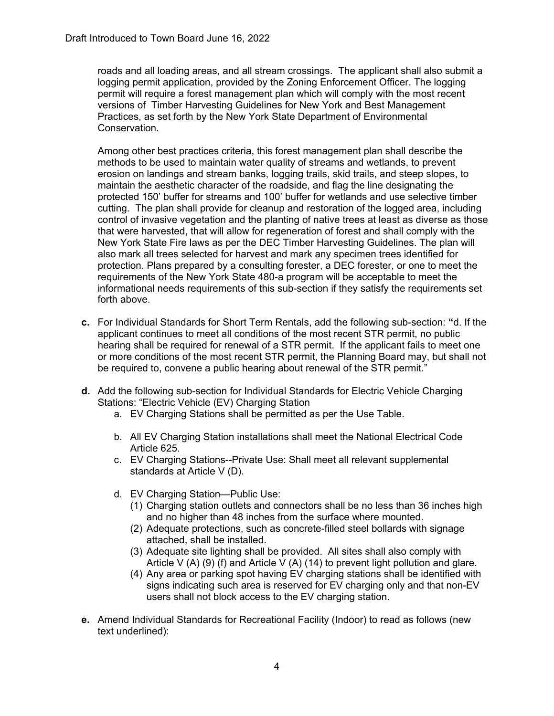roads and all loading areas, and all stream crossings. The applicant shall also submit a logging permit application, provided by the Zoning Enforcement Officer. The logging permit will require a forest management plan which will comply with the most recent versions of Timber Harvesting Guidelines for New York and Best Management Practices, as set forth by the New York State Department of Environmental Conservation.

Among other best practices criteria, this forest management plan shall describe the methods to be used to maintain water quality of streams and wetlands, to prevent erosion on landings and stream banks, logging trails, skid trails, and steep slopes, to maintain the aesthetic character of the roadside, and flag the line designating the protected 150' buffer for streams and 100' buffer for wetlands and use selective timber cutting. The plan shall provide for cleanup and restoration of the logged area, including control of invasive vegetation and the planting of native trees at least as diverse as those that were harvested, that will allow for regeneration of forest and shall comply with the New York State Fire laws as per the DEC Timber Harvesting Guidelines. The plan will also mark all trees selected for harvest and mark any specimen trees identified for protection. Plans prepared by a consulting forester, a DEC forester, or one to meet the requirements of the New York State 480-a program will be acceptable to meet the informational needs requirements of this sub-section if they satisfy the requirements set forth above.

- **c.** For Individual Standards for Short Term Rentals, add the following sub-section: **"**d. If the applicant continues to meet all conditions of the most recent STR permit, no public hearing shall be required for renewal of a STR permit. If the applicant fails to meet one or more conditions of the most recent STR permit, the Planning Board may, but shall not be required to, convene a public hearing about renewal of the STR permit."
- **d.** Add the following sub-section for Individual Standards for Electric Vehicle Charging Stations: "Electric Vehicle (EV) Charging Station
	- a. EV Charging Stations shall be permitted as per the Use Table.
	- b. All EV Charging Station installations shall meet the National Electrical Code Article 625.
	- c. EV Charging Stations--Private Use: Shall meet all relevant supplemental standards at Article V (D).
	- d. EV Charging Station—Public Use:
		- (1) Charging station outlets and connectors shall be no less than 36 inches high and no higher than 48 inches from the surface where mounted.
		- (2) Adequate protections, such as concrete-filled steel bollards with signage attached, shall be installed.
		- (3) Adequate site lighting shall be provided. All sites shall also comply with Article V (A) (9) (f) and Article V (A) (14) to prevent light pollution and glare.
		- (4) Any area or parking spot having EV charging stations shall be identified with signs indicating such area is reserved for EV charging only and that non-EV users shall not block access to the EV charging station.
- **e.** Amend Individual Standards for Recreational Facility (Indoor) to read as follows (new text underlined):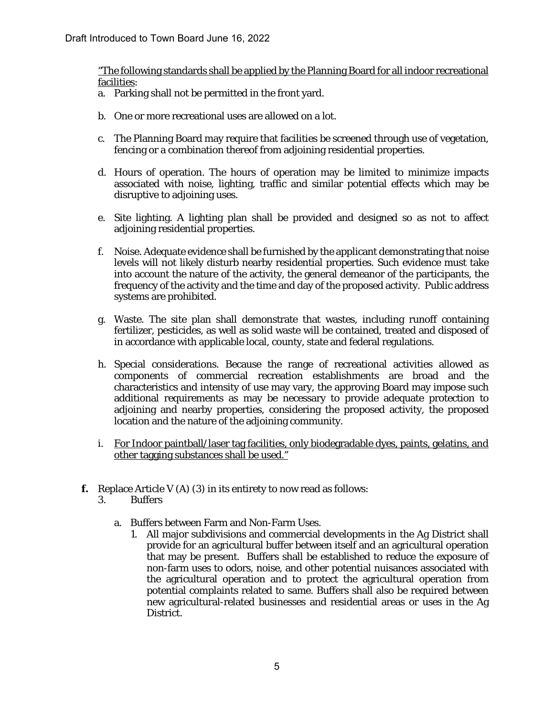"The following standards shall be applied by the Planning Board for all indoor recreational facilities:

- a. Parking shall not be permitted in the front yard.
- b. One or more recreational uses are allowed on a lot.
- c. The Planning Board may require that facilities be screened through use of vegetation, fencing or a combination thereof from adjoining residential properties.
- d. Hours of operation. The hours of operation may be limited to minimize impacts associated with noise, lighting, traffic and similar potential effects which may be disruptive to adjoining uses.
- e. Site lighting. A lighting plan shall be provided and designed so as not to affect adjoining residential properties.
- f. Noise. Adequate evidence shall be furnished by the applicant demonstrating that noise levels will not likely disturb nearby residential properties. Such evidence must take into account the nature of the activity, the general demeanor of the participants, the frequency of the activity and the time and day of the proposed activity. Public address systems are prohibited.
- g. Waste. The site plan shall demonstrate that wastes, including runoff containing fertilizer, pesticides, as well as solid waste will be contained, treated and disposed of in accordance with applicable local, county, state and federal regulations.
- h. Special considerations. Because the range of recreational activities allowed as components of commercial recreation establishments are broad and the characteristics and intensity of use may vary, the approving Board may impose such additional requirements as may be necessary to provide adequate protection to adjoining and nearby properties, considering the proposed activity, the proposed location and the nature of the adjoining community.
- i. For Indoor paintball/laser tag facilities, only biodegradable dyes, paints, gelatins, and other tagging substances shall be used."
- **f.** Replace Article V (A) (3) in its entirety to now read as follows:
	- 3. Buffers
		- a. Buffers between Farm and Non-Farm Uses.
			- 1. All major subdivisions and commercial developments in the Ag District shall provide for an agricultural buffer between itself and an agricultural operation that may be present. Buffers shall be established to reduce the exposure of non-farm uses to odors, noise, and other potential nuisances associated with the agricultural operation and to protect the agricultural operation from potential complaints related to same. Buffers shall also be required between new agricultural-related businesses and residential areas or uses in the Ag District.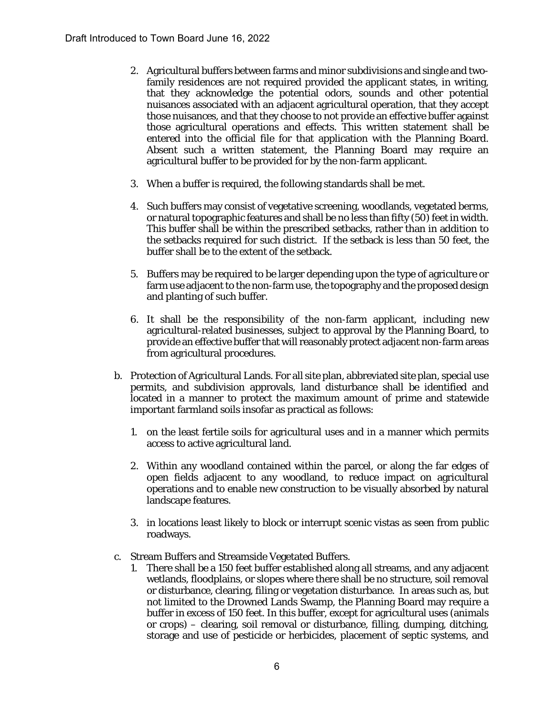- 2. Agricultural buffers between farms and minor subdivisions and single and twofamily residences are not required provided the applicant states, in writing, that they acknowledge the potential odors, sounds and other potential nuisances associated with an adjacent agricultural operation, that they accept those nuisances, and that they choose to not provide an effective buffer against those agricultural operations and effects. This written statement shall be entered into the official file for that application with the Planning Board. Absent such a written statement, the Planning Board may require an agricultural buffer to be provided for by the non-farm applicant.
- 3. When a buffer is required, the following standards shall be met.
- 4. Such buffers may consist of vegetative screening, woodlands, vegetated berms, or natural topographic features and shall be no less than fifty (50) feet in width. This buffer shall be within the prescribed setbacks, rather than in addition to the setbacks required for such district. If the setback is less than 50 feet, the buffer shall be to the extent of the setback.
- 5. Buffers may be required to be larger depending upon the type of agriculture or farm use adjacent to the non-farm use, the topography and the proposed design and planting of such buffer.
- 6. It shall be the responsibility of the non-farm applicant, including new agricultural-related businesses, subject to approval by the Planning Board, to provide an effective buffer that will reasonably protect adjacent non-farm areas from agricultural procedures.
- b. Protection of Agricultural Lands. For all site plan, abbreviated site plan, special use permits, and subdivision approvals, land disturbance shall be identified and located in a manner to protect the maximum amount of prime and statewide important farmland soils insofar as practical as follows:
	- 1. on the least fertile soils for agricultural uses and in a manner which permits access to active agricultural land.
	- 2. Within any woodland contained within the parcel, or along the far edges of open fields adjacent to any woodland, to reduce impact on agricultural operations and to enable new construction to be visually absorbed by natural landscape features.
	- 3. in locations least likely to block or interrupt scenic vistas as seen from public roadways.
- c. Stream Buffers and Streamside Vegetated Buffers.
	- 1. There shall be a 150 feet buffer established along all streams, and any adjacent wetlands, floodplains, or slopes where there shall be no structure, soil removal or disturbance, clearing, filing or vegetation disturbance. In areas such as, but not limited to the Drowned Lands Swamp, the Planning Board may require a buffer in excess of 150 feet. In this buffer, except for agricultural uses (animals or crops) – clearing, soil removal or disturbance, filling, dumping, ditching, storage and use of pesticide or herbicides, placement of septic systems, and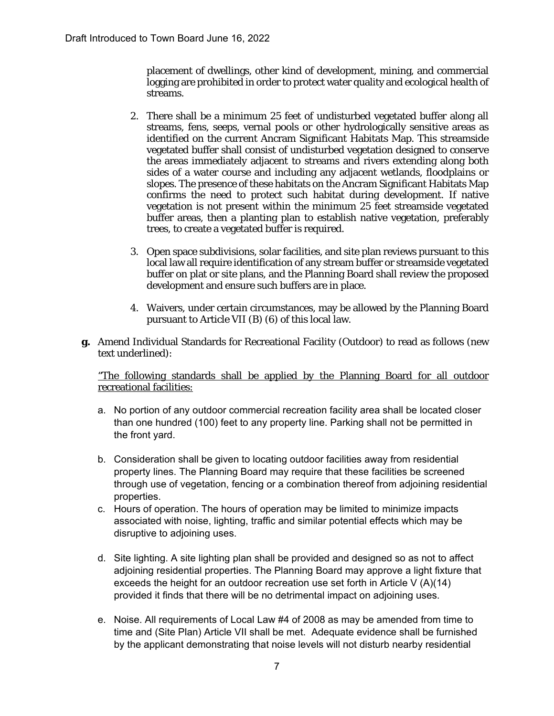placement of dwellings, other kind of development, mining, and commercial logging are prohibited in order to protect water quality and ecological health of streams.

- 2. There shall be a minimum 25 feet of undisturbed vegetated buffer along all streams, fens, seeps, vernal pools or other hydrologically sensitive areas as identified on the current Ancram Significant Habitats Map. This streamside vegetated buffer shall consist of undisturbed vegetation designed to conserve the areas immediately adjacent to streams and rivers extending along both sides of a water course and including any adjacent wetlands, floodplains or slopes. The presence of these habitats on the Ancram Significant Habitats Map confirms the need to protect such habitat during development. If native vegetation is not present within the minimum 25 feet streamside vegetated buffer areas, then a planting plan to establish native vegetation, preferably trees, to create a vegetated buffer is required.
- 3. Open space subdivisions, solar facilities, and site plan reviews pursuant to this local law all require identification of any stream buffer or streamside vegetated buffer on plat or site plans, and the Planning Board shall review the proposed development and ensure such buffers are in place.
- 4. Waivers, under certain circumstances, may be allowed by the Planning Board pursuant to Article VII (B) (6) of this local law.
- **g.** Amend Individual Standards for Recreational Facility (Outdoor) to read as follows (new text underlined):

"The following standards shall be applied by the Planning Board for all outdoor recreational facilities:

- a. No portion of any outdoor commercial recreation facility area shall be located closer than one hundred (100) feet to any property line. Parking shall not be permitted in the front yard.
- b. Consideration shall be given to locating outdoor facilities away from residential property lines. The Planning Board may require that these facilities be screened through use of vegetation, fencing or a combination thereof from adjoining residential properties.
- c. Hours of operation. The hours of operation may be limited to minimize impacts associated with noise, lighting, traffic and similar potential effects which may be disruptive to adjoining uses.
- d. Site lighting. A site lighting plan shall be provided and designed so as not to affect adjoining residential properties. The Planning Board may approve a light fixture that exceeds the height for an outdoor recreation use set forth in Article V (A)(14) provided it finds that there will be no detrimental impact on adjoining uses.
- e. Noise. All requirements of Local Law #4 of 2008 as may be amended from time to time and (Site Plan) Article VII shall be met. Adequate evidence shall be furnished by the applicant demonstrating that noise levels will not disturb nearby residential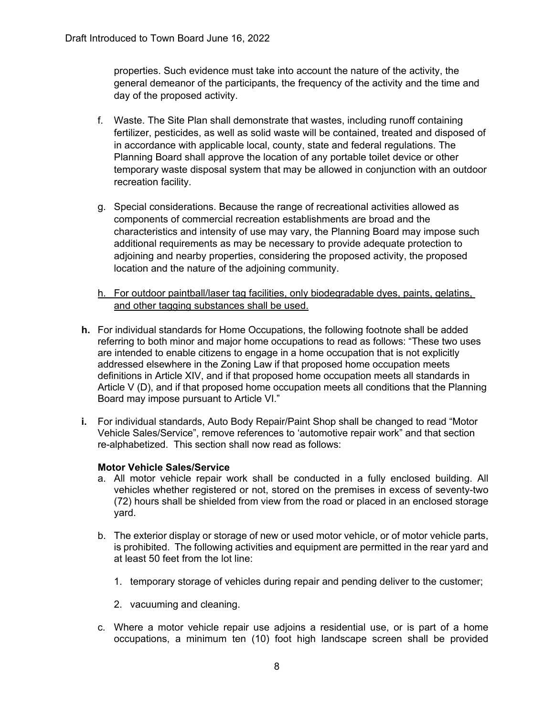properties. Such evidence must take into account the nature of the activity, the general demeanor of the participants, the frequency of the activity and the time and day of the proposed activity.

- f. Waste. The Site Plan shall demonstrate that wastes, including runoff containing fertilizer, pesticides, as well as solid waste will be contained, treated and disposed of in accordance with applicable local, county, state and federal regulations. The Planning Board shall approve the location of any portable toilet device or other temporary waste disposal system that may be allowed in conjunction with an outdoor recreation facility.
- g. Special considerations. Because the range of recreational activities allowed as components of commercial recreation establishments are broad and the characteristics and intensity of use may vary, the Planning Board may impose such additional requirements as may be necessary to provide adequate protection to adjoining and nearby properties, considering the proposed activity, the proposed location and the nature of the adjoining community.
- h. For outdoor paintball/laser tag facilities, only biodegradable dyes, paints, gelatins, and other tagging substances shall be used.
- **h.** For individual standards for Home Occupations, the following footnote shall be added referring to both minor and major home occupations to read as follows: "These two uses are intended to enable citizens to engage in a home occupation that is not explicitly addressed elsewhere in the Zoning Law if that proposed home occupation meets definitions in Article XIV, and if that proposed home occupation meets all standards in Article V (D), and if that proposed home occupation meets all conditions that the Planning Board may impose pursuant to Article VI."
- **i.** For individual standards, Auto Body Repair/Paint Shop shall be changed to read "Motor Vehicle Sales/Service", remove references to 'automotive repair work" and that section re-alphabetized. This section shall now read as follows:

#### **Motor Vehicle Sales/Service**

- a. All motor vehicle repair work shall be conducted in a fully enclosed building. All vehicles whether registered or not, stored on the premises in excess of seventy-two (72) hours shall be shielded from view from the road or placed in an enclosed storage yard.
- b. The exterior display or storage of new or used motor vehicle, or of motor vehicle parts, is prohibited. The following activities and equipment are permitted in the rear yard and at least 50 feet from the lot line:
	- 1. temporary storage of vehicles during repair and pending deliver to the customer;
	- 2. vacuuming and cleaning.
- c. Where a motor vehicle repair use adjoins a residential use, or is part of a home occupations, a minimum ten (10) foot high landscape screen shall be provided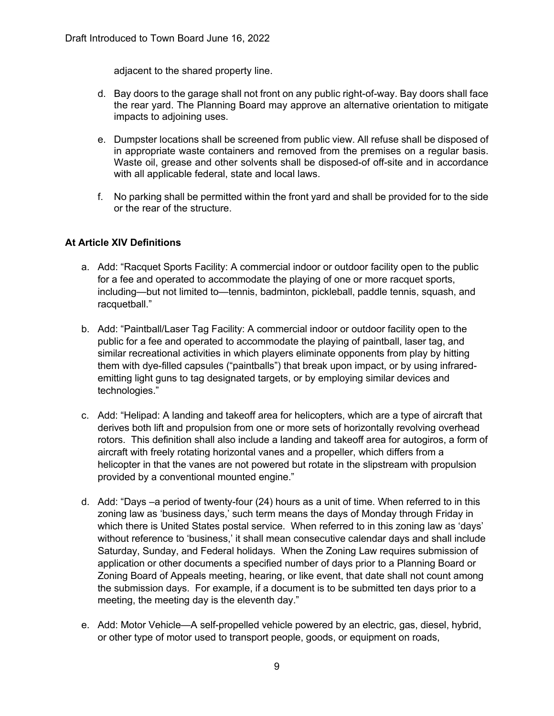adjacent to the shared property line.

- d. Bay doors to the garage shall not front on any public right-of-way. Bay doors shall face the rear yard. The Planning Board may approve an alternative orientation to mitigate impacts to adjoining uses.
- e. Dumpster locations shall be screened from public view. All refuse shall be disposed of in appropriate waste containers and removed from the premises on a regular basis. Waste oil, grease and other solvents shall be disposed-of off-site and in accordance with all applicable federal, state and local laws.
- f. No parking shall be permitted within the front yard and shall be provided for to the side or the rear of the structure.

## **At Article XIV Definitions**

- a. Add: "Racquet Sports Facility: A commercial indoor or outdoor facility open to the public for a fee and operated to accommodate the playing of one or more racquet sports, including—but not limited to—tennis, badminton, pickleball, paddle tennis, squash, and racquetball."
- b. Add: "Paintball/Laser Tag Facility: A commercial indoor or outdoor facility open to the public for a fee and operated to accommodate the playing of paintball, laser tag, and similar recreational activities in which players eliminate opponents from play by hitting them with dye-filled capsules ("paintballs") that break upon impact, or by using infraredemitting light guns to tag designated targets, or by employing similar devices and technologies."
- c. Add: "Helipad: A landing and takeoff area for helicopters, which are a type of aircraft that derives both lift and propulsion from one or more sets of horizontally revolving overhead rotors. This definition shall also include a landing and takeoff area for autogiros, a form of aircraft with freely rotating horizontal vanes and a propeller, which differs from a helicopter in that the vanes are not powered but rotate in the slipstream with propulsion provided by a conventional mounted engine."
- d. Add: "Days –a period of twenty-four (24) hours as a unit of time. When referred to in this zoning law as 'business days,' such term means the days of Monday through Friday in which there is United States postal service. When referred to in this zoning law as 'days' without reference to 'business,' it shall mean consecutive calendar days and shall include Saturday, Sunday, and Federal holidays. When the Zoning Law requires submission of application or other documents a specified number of days prior to a Planning Board or Zoning Board of Appeals meeting, hearing, or like event, that date shall not count among the submission days. For example, if a document is to be submitted ten days prior to a meeting, the meeting day is the eleventh day."
- e. Add: Motor Vehicle—A self-propelled vehicle powered by an electric, gas, diesel, hybrid, or other type of motor used to transport people, goods, or equipment on roads,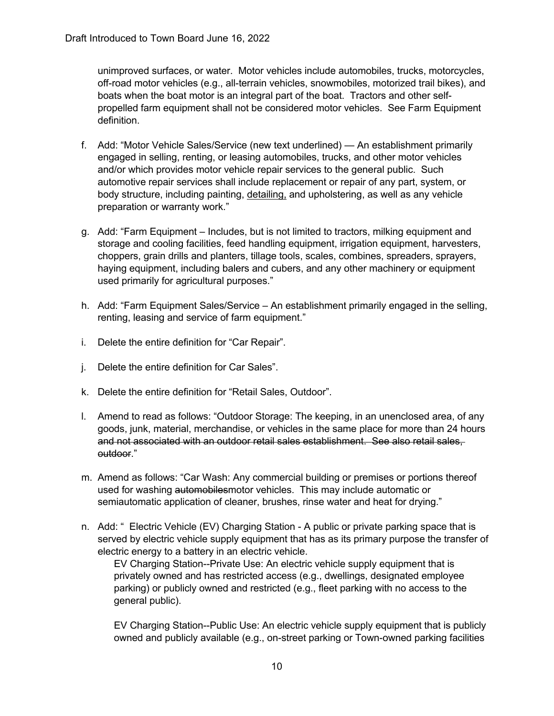unimproved surfaces, or water. Motor vehicles include automobiles, trucks, motorcycles, off-road motor vehicles (e.g., all-terrain vehicles, snowmobiles, motorized trail bikes), and boats when the boat motor is an integral part of the boat. Tractors and other selfpropelled farm equipment shall not be considered motor vehicles. See Farm Equipment definition.

- f. Add: "Motor Vehicle Sales/Service (new text underlined) An establishment primarily engaged in selling, renting, or leasing automobiles, trucks, and other motor vehicles and/or which provides motor vehicle repair services to the general public. Such automotive repair services shall include replacement or repair of any part, system, or body structure, including painting, detailing, and upholstering, as well as any vehicle preparation or warranty work."
- g. Add: "Farm Equipment Includes, but is not limited to tractors, milking equipment and storage and cooling facilities, feed handling equipment, irrigation equipment, harvesters, choppers, grain drills and planters, tillage tools, scales, combines, spreaders, sprayers, haying equipment, including balers and cubers, and any other machinery or equipment used primarily for agricultural purposes."
- h. Add: "Farm Equipment Sales/Service An establishment primarily engaged in the selling, renting, leasing and service of farm equipment."
- i. Delete the entire definition for "Car Repair".
- j. Delete the entire definition for Car Sales".
- k. Delete the entire definition for "Retail Sales, Outdoor".
- l. Amend to read as follows: "Outdoor Storage: The keeping, in an unenclosed area, of any goods, junk, material, merchandise, or vehicles in the same place for more than 24 hours and not associated with an outdoor retail sales establishment. See also retail sales, outdoor."
- m. Amend as follows: "Car Wash: Any commercial building or premises or portions thereof used for washing automobilesmotor vehicles. This may include automatic or semiautomatic application of cleaner, brushes, rinse water and heat for drying."
- n. Add: " Electric Vehicle (EV) Charging Station A public or private parking space that is served by electric vehicle supply equipment that has as its primary purpose the transfer of electric energy to a battery in an electric vehicle.

EV Charging Station--Private Use: An electric vehicle supply equipment that is privately owned and has restricted access (e.g., dwellings, designated employee parking) or publicly owned and restricted (e.g., fleet parking with no access to the general public).

EV Charging Station--Public Use: An electric vehicle supply equipment that is publicly owned and publicly available (e.g., on-street parking or Town-owned parking facilities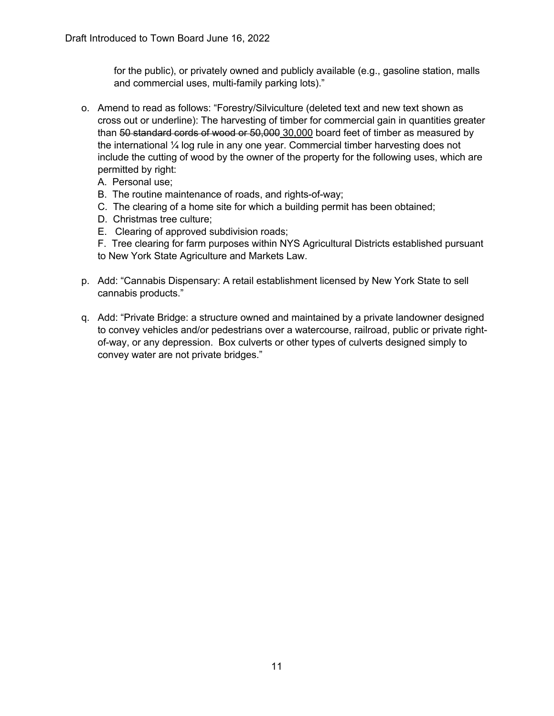for the public), or privately owned and publicly available (e.g., gasoline station, malls and commercial uses, multi-family parking lots)."

- o. Amend to read as follows: "Forestry/Silviculture (deleted text and new text shown as cross out or underline): The harvesting of timber for commercial gain in quantities greater than 50 standard cords of wood or 50,000 30,000 board feet of timber as measured by the international ¼ log rule in any one year. Commercial timber harvesting does not include the cutting of wood by the owner of the property for the following uses, which are permitted by right:
	- A. Personal use;
	- B. The routine maintenance of roads, and rights-of-way;
	- C. The clearing of a home site for which a building permit has been obtained;
	- D. Christmas tree culture;
	- E. Clearing of approved subdivision roads;
	- F. Tree clearing for farm purposes within NYS Agricultural Districts established pursuant to New York State Agriculture and Markets Law.
- p. Add: "Cannabis Dispensary: A retail establishment licensed by New York State to sell cannabis products."
- q. Add: "Private Bridge: a structure owned and maintained by a private landowner designed to convey vehicles and/or pedestrians over a watercourse, railroad, public or private rightof-way, or any depression. Box culverts or other types of culverts designed simply to convey water are not private bridges."